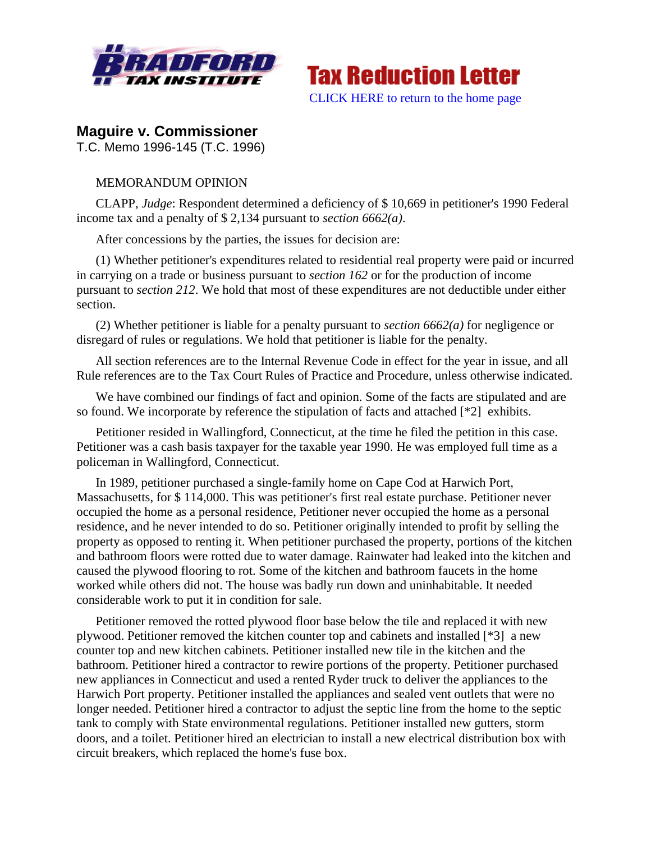



# **Maguire v. Commissioner**

T.C. Memo 1996-145 (T.C. 1996)

## MEMORANDUM OPINION

CLAPP, *Judge*: Respondent determined a deficiency of \$ 10,669 in petitioner's 1990 Federal income tax and a penalty of \$ 2,134 pursuant to *section 6662(a)*.

After concessions by the parties, the issues for decision are:

(1) Whether petitioner's expenditures related to residential real property were paid or incurred in carrying on a trade or business pursuant to *section 162* or for the production of income pursuant to *section 212*. We hold that most of these expenditures are not deductible under either section.

(2) Whether petitioner is liable for a penalty pursuant to *section 6662(a)* for negligence or disregard of rules or regulations. We hold that petitioner is liable for the penalty.

All section references are to the Internal Revenue Code in effect for the year in issue, and all Rule references are to the Tax Court Rules of Practice and Procedure, unless otherwise indicated.

We have combined our findings of fact and opinion. Some of the facts are stipulated and are so found. We incorporate by reference the stipulation of facts and attached [\*2] exhibits.

Petitioner resided in Wallingford, Connecticut, at the time he filed the petition in this case. Petitioner was a cash basis taxpayer for the taxable year 1990. He was employed full time as a policeman in Wallingford, Connecticut.

In 1989, petitioner purchased a single-family home on Cape Cod at Harwich Port, Massachusetts, for \$ 114,000. This was petitioner's first real estate purchase. Petitioner never occupied the home as a personal residence, Petitioner never occupied the home as a personal residence, and he never intended to do so. Petitioner originally intended to profit by selling the property as opposed to renting it. When petitioner purchased the property, portions of the kitchen and bathroom floors were rotted due to water damage. Rainwater had leaked into the kitchen and caused the plywood flooring to rot. Some of the kitchen and bathroom faucets in the home worked while others did not. The house was badly run down and uninhabitable. It needed considerable work to put it in condition for sale.

Petitioner removed the rotted plywood floor base below the tile and replaced it with new plywood. Petitioner removed the kitchen counter top and cabinets and installed [\*3] a new counter top and new kitchen cabinets. Petitioner installed new tile in the kitchen and the bathroom. Petitioner hired a contractor to rewire portions of the property. Petitioner purchased new appliances in Connecticut and used a rented Ryder truck to deliver the appliances to the Harwich Port property. Petitioner installed the appliances and sealed vent outlets that were no longer needed. Petitioner hired a contractor to adjust the septic line from the home to the septic tank to comply with State environmental regulations. Petitioner installed new gutters, storm doors, and a toilet. Petitioner hired an electrician to install a new electrical distribution box with circuit breakers, which replaced the home's fuse box.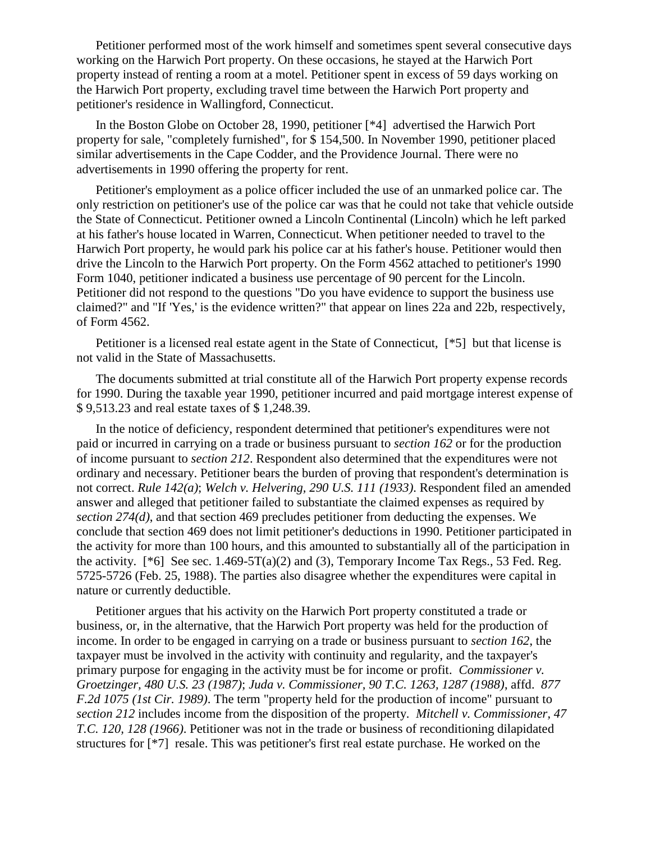Petitioner performed most of the work himself and sometimes spent several consecutive days working on the Harwich Port property. On these occasions, he stayed at the Harwich Port property instead of renting a room at a motel. Petitioner spent in excess of 59 days working on the Harwich Port property, excluding travel time between the Harwich Port property and petitioner's residence in Wallingford, Connecticut.

In the Boston Globe on October 28, 1990, petitioner [\*4] advertised the Harwich Port property for sale, "completely furnished", for \$ 154,500. In November 1990, petitioner placed similar advertisements in the Cape Codder, and the Providence Journal. There were no advertisements in 1990 offering the property for rent.

Petitioner's employment as a police officer included the use of an unmarked police car. The only restriction on petitioner's use of the police car was that he could not take that vehicle outside the State of Connecticut. Petitioner owned a Lincoln Continental (Lincoln) which he left parked at his father's house located in Warren, Connecticut. When petitioner needed to travel to the Harwich Port property, he would park his police car at his father's house. Petitioner would then drive the Lincoln to the Harwich Port property. On the Form 4562 attached to petitioner's 1990 Form 1040, petitioner indicated a business use percentage of 90 percent for the Lincoln. Petitioner did not respond to the questions "Do you have evidence to support the business use claimed?" and "If 'Yes,' is the evidence written?" that appear on lines 22a and 22b, respectively, of Form 4562.

Petitioner is a licensed real estate agent in the State of Connecticut, [\*5] but that license is not valid in the State of Massachusetts.

The documents submitted at trial constitute all of the Harwich Port property expense records for 1990. During the taxable year 1990, petitioner incurred and paid mortgage interest expense of \$ 9,513.23 and real estate taxes of \$ 1,248.39.

In the notice of deficiency, respondent determined that petitioner's expenditures were not paid or incurred in carrying on a trade or business pursuant to *section 162* or for the production of income pursuant to *section 212*. Respondent also determined that the expenditures were not ordinary and necessary. Petitioner bears the burden of proving that respondent's determination is not correct. *Rule 142(a)*; *Welch v. Helvering, 290 U.S. 111 (1933)*. Respondent filed an amended answer and alleged that petitioner failed to substantiate the claimed expenses as required by *section 274(d)*, and that section 469 precludes petitioner from deducting the expenses. We conclude that section 469 does not limit petitioner's deductions in 1990. Petitioner participated in the activity for more than 100 hours, and this amounted to substantially all of the participation in the activity.  $[^*6]$  See sec. 1.469-5T(a)(2) and (3), Temporary Income Tax Regs., 53 Fed. Reg. 5725-5726 (Feb. 25, 1988). The parties also disagree whether the expenditures were capital in nature or currently deductible.

Petitioner argues that his activity on the Harwich Port property constituted a trade or business, or, in the alternative, that the Harwich Port property was held for the production of income. In order to be engaged in carrying on a trade or business pursuant to *section 162*, the taxpayer must be involved in the activity with continuity and regularity, and the taxpayer's primary purpose for engaging in the activity must be for income or profit. *Commissioner v. Groetzinger, 480 U.S. 23 (1987)*; *Juda v. Commissioner, 90 T.C. 1263, 1287 (1988)*, affd. *877 F.2d 1075 (1st Cir. 1989)*. The term "property held for the production of income" pursuant to *section 212* includes income from the disposition of the property. *Mitchell v. Commissioner, 47 T.C. 120, 128 (1966)*. Petitioner was not in the trade or business of reconditioning dilapidated structures for [\*7] resale. This was petitioner's first real estate purchase. He worked on the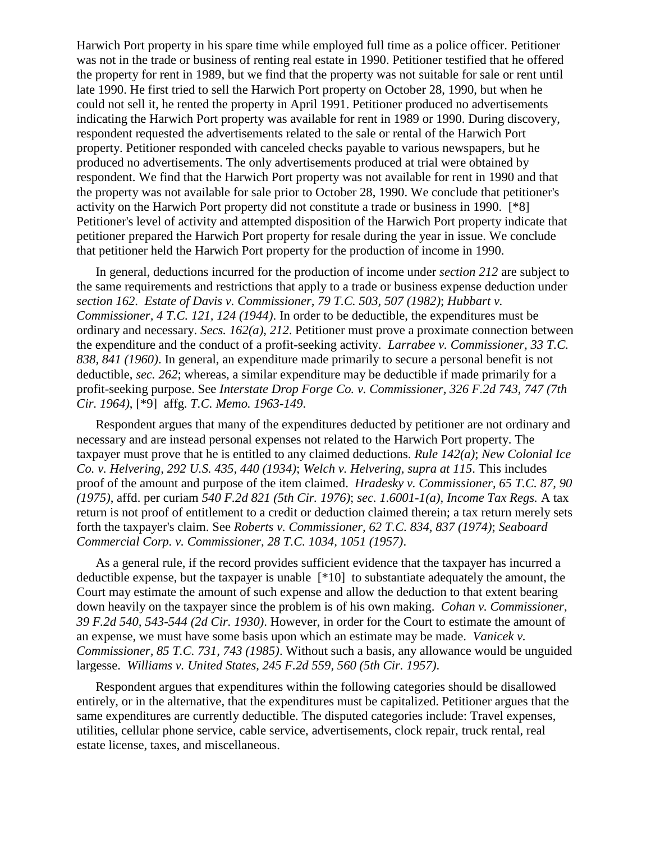Harwich Port property in his spare time while employed full time as a police officer. Petitioner was not in the trade or business of renting real estate in 1990. Petitioner testified that he offered the property for rent in 1989, but we find that the property was not suitable for sale or rent until late 1990. He first tried to sell the Harwich Port property on October 28, 1990, but when he could not sell it, he rented the property in April 1991. Petitioner produced no advertisements indicating the Harwich Port property was available for rent in 1989 or 1990. During discovery, respondent requested the advertisements related to the sale or rental of the Harwich Port property. Petitioner responded with canceled checks payable to various newspapers, but he produced no advertisements. The only advertisements produced at trial were obtained by respondent. We find that the Harwich Port property was not available for rent in 1990 and that the property was not available for sale prior to October 28, 1990. We conclude that petitioner's activity on the Harwich Port property did not constitute a trade or business in 1990. [\*8] Petitioner's level of activity and attempted disposition of the Harwich Port property indicate that petitioner prepared the Harwich Port property for resale during the year in issue. We conclude that petitioner held the Harwich Port property for the production of income in 1990.

In general, deductions incurred for the production of income under *section 212* are subject to the same requirements and restrictions that apply to a trade or business expense deduction under *section 162*. *Estate of Davis v. Commissioner, 79 T.C. 503, 507 (1982)*; *Hubbart v. Commissioner, 4 T.C. 121, 124 (1944)*. In order to be deductible, the expenditures must be ordinary and necessary. *Secs. 162(a)*, *212*. Petitioner must prove a proximate connection between the expenditure and the conduct of a profit-seeking activity. *Larrabee v. Commissioner, 33 T.C. 838, 841 (1960)*. In general, an expenditure made primarily to secure a personal benefit is not deductible, *sec. 262*; whereas, a similar expenditure may be deductible if made primarily for a profit-seeking purpose. See *Interstate Drop Forge Co. v. Commissioner, 326 F.2d 743, 747 (7th Cir. 1964)*, [\*9] affg. *T.C. Memo. 1963-149*.

Respondent argues that many of the expenditures deducted by petitioner are not ordinary and necessary and are instead personal expenses not related to the Harwich Port property. The taxpayer must prove that he is entitled to any claimed deductions. *Rule 142(a)*; *New Colonial Ice Co. v. Helvering, 292 U.S. 435, 440 (1934)*; *Welch v. Helvering, supra at 115*. This includes proof of the amount and purpose of the item claimed. *Hradesky v. Commissioner, 65 T.C. 87, 90 (1975)*, affd. per curiam *540 F.2d 821 (5th Cir. 1976)*; *sec. 1.6001-1(a), Income Tax Regs.* A tax return is not proof of entitlement to a credit or deduction claimed therein; a tax return merely sets forth the taxpayer's claim. See *Roberts v. Commissioner, 62 T.C. 834, 837 (1974)*; *Seaboard Commercial Corp. v. Commissioner, 28 T.C. 1034, 1051 (1957)*.

As a general rule, if the record provides sufficient evidence that the taxpayer has incurred a deductible expense, but the taxpayer is unable [\*10] to substantiate adequately the amount, the Court may estimate the amount of such expense and allow the deduction to that extent bearing down heavily on the taxpayer since the problem is of his own making. *Cohan v. Commissioner, 39 F.2d 540, 543-544 (2d Cir. 1930)*. However, in order for the Court to estimate the amount of an expense, we must have some basis upon which an estimate may be made. *Vanicek v. Commissioner, 85 T.C. 731, 743 (1985)*. Without such a basis, any allowance would be unguided largesse. *Williams v. United States, 245 F.2d 559, 560 (5th Cir. 1957)*.

Respondent argues that expenditures within the following categories should be disallowed entirely, or in the alternative, that the expenditures must be capitalized. Petitioner argues that the same expenditures are currently deductible. The disputed categories include: Travel expenses, utilities, cellular phone service, cable service, advertisements, clock repair, truck rental, real estate license, taxes, and miscellaneous.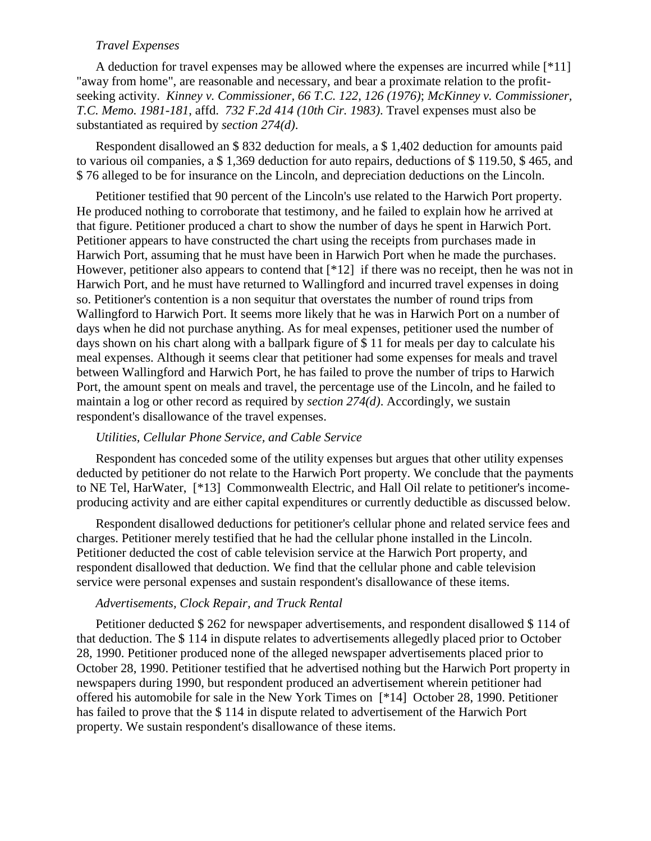#### *Travel Expenses*

A deduction for travel expenses may be allowed where the expenses are incurred while  $[*11]$ "away from home", are reasonable and necessary, and bear a proximate relation to the profitseeking activity. *Kinney v. Commissioner, 66 T.C. 122, 126 (1976)*; *McKinney v. Commissioner, T.C. Memo. 1981-181*, affd. *732 F.2d 414 (10th Cir. 1983)*. Travel expenses must also be substantiated as required by *section 274(d)*.

Respondent disallowed an \$ 832 deduction for meals, a \$ 1,402 deduction for amounts paid to various oil companies, a \$ 1,369 deduction for auto repairs, deductions of \$ 119.50, \$ 465, and \$ 76 alleged to be for insurance on the Lincoln, and depreciation deductions on the Lincoln.

Petitioner testified that 90 percent of the Lincoln's use related to the Harwich Port property. He produced nothing to corroborate that testimony, and he failed to explain how he arrived at that figure. Petitioner produced a chart to show the number of days he spent in Harwich Port. Petitioner appears to have constructed the chart using the receipts from purchases made in Harwich Port, assuming that he must have been in Harwich Port when he made the purchases. However, petitioner also appears to contend that [\*12] if there was no receipt, then he was not in Harwich Port, and he must have returned to Wallingford and incurred travel expenses in doing so. Petitioner's contention is a non sequitur that overstates the number of round trips from Wallingford to Harwich Port. It seems more likely that he was in Harwich Port on a number of days when he did not purchase anything. As for meal expenses, petitioner used the number of days shown on his chart along with a ballpark figure of \$ 11 for meals per day to calculate his meal expenses. Although it seems clear that petitioner had some expenses for meals and travel between Wallingford and Harwich Port, he has failed to prove the number of trips to Harwich Port, the amount spent on meals and travel, the percentage use of the Lincoln, and he failed to maintain a log or other record as required by *section 274(d)*. Accordingly, we sustain respondent's disallowance of the travel expenses.

#### *Utilities, Cellular Phone Service, and Cable Service*

Respondent has conceded some of the utility expenses but argues that other utility expenses deducted by petitioner do not relate to the Harwich Port property. We conclude that the payments to NE Tel, HarWater, [\*13] Commonwealth Electric, and Hall Oil relate to petitioner's incomeproducing activity and are either capital expenditures or currently deductible as discussed below.

Respondent disallowed deductions for petitioner's cellular phone and related service fees and charges. Petitioner merely testified that he had the cellular phone installed in the Lincoln. Petitioner deducted the cost of cable television service at the Harwich Port property, and respondent disallowed that deduction. We find that the cellular phone and cable television service were personal expenses and sustain respondent's disallowance of these items.

#### *Advertisements, Clock Repair, and Truck Rental*

Petitioner deducted \$ 262 for newspaper advertisements, and respondent disallowed \$ 114 of that deduction. The \$ 114 in dispute relates to advertisements allegedly placed prior to October 28, 1990. Petitioner produced none of the alleged newspaper advertisements placed prior to October 28, 1990. Petitioner testified that he advertised nothing but the Harwich Port property in newspapers during 1990, but respondent produced an advertisement wherein petitioner had offered his automobile for sale in the New York Times on [\*14] October 28, 1990. Petitioner has failed to prove that the \$ 114 in dispute related to advertisement of the Harwich Port property. We sustain respondent's disallowance of these items.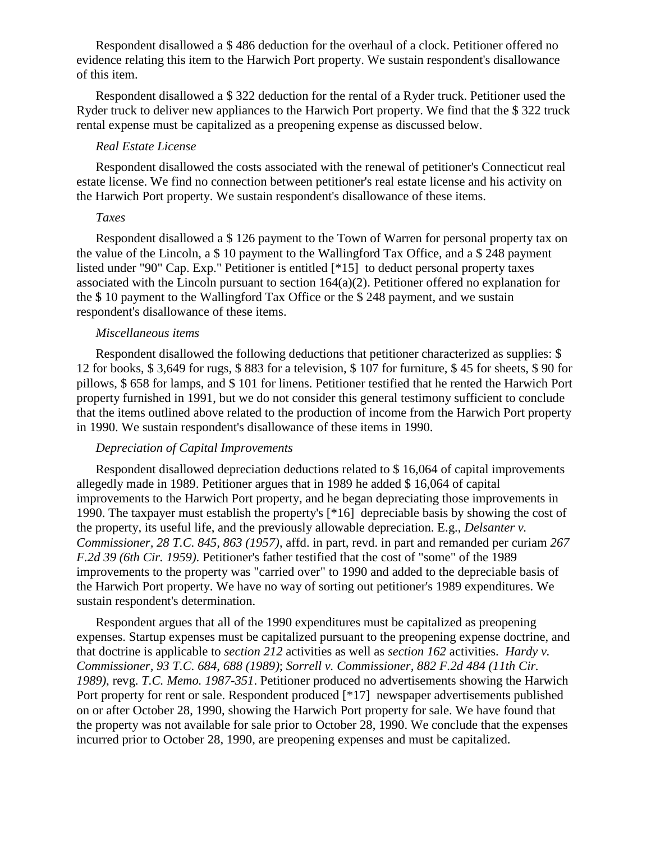Respondent disallowed a \$ 486 deduction for the overhaul of a clock. Petitioner offered no evidence relating this item to the Harwich Port property. We sustain respondent's disallowance of this item.

Respondent disallowed a \$ 322 deduction for the rental of a Ryder truck. Petitioner used the Ryder truck to deliver new appliances to the Harwich Port property. We find that the \$ 322 truck rental expense must be capitalized as a preopening expense as discussed below.

#### *Real Estate License*

Respondent disallowed the costs associated with the renewal of petitioner's Connecticut real estate license. We find no connection between petitioner's real estate license and his activity on the Harwich Port property. We sustain respondent's disallowance of these items.

## *Taxes*

Respondent disallowed a \$ 126 payment to the Town of Warren for personal property tax on the value of the Lincoln, a \$ 10 payment to the Wallingford Tax Office, and a \$ 248 payment listed under "90" Cap. Exp." Petitioner is entitled [\*15] to deduct personal property taxes associated with the Lincoln pursuant to section  $164(a)(2)$ . Petitioner offered no explanation for the \$ 10 payment to the Wallingford Tax Office or the \$ 248 payment, and we sustain respondent's disallowance of these items.

## *Miscellaneous items*

Respondent disallowed the following deductions that petitioner characterized as supplies: \$ 12 for books, \$ 3,649 for rugs, \$ 883 for a television, \$ 107 for furniture, \$ 45 for sheets, \$ 90 for pillows, \$ 658 for lamps, and \$ 101 for linens. Petitioner testified that he rented the Harwich Port property furnished in 1991, but we do not consider this general testimony sufficient to conclude that the items outlined above related to the production of income from the Harwich Port property in 1990. We sustain respondent's disallowance of these items in 1990.

#### *Depreciation of Capital Improvements*

Respondent disallowed depreciation deductions related to \$ 16,064 of capital improvements allegedly made in 1989. Petitioner argues that in 1989 he added \$ 16,064 of capital improvements to the Harwich Port property, and he began depreciating those improvements in 1990. The taxpayer must establish the property's [\*16] depreciable basis by showing the cost of the property, its useful life, and the previously allowable depreciation. E.g., *Delsanter v. Commissioner, 28 T.C. 845, 863 (1957)*, affd. in part, revd. in part and remanded per curiam *267 F.2d 39 (6th Cir. 1959)*. Petitioner's father testified that the cost of "some" of the 1989 improvements to the property was "carried over" to 1990 and added to the depreciable basis of the Harwich Port property. We have no way of sorting out petitioner's 1989 expenditures. We sustain respondent's determination.

Respondent argues that all of the 1990 expenditures must be capitalized as preopening expenses. Startup expenses must be capitalized pursuant to the preopening expense doctrine, and that doctrine is applicable to *section 212* activities as well as *section 162* activities. *Hardy v. Commissioner, 93 T.C. 684, 688 (1989)*; *Sorrell v. Commissioner, 882 F.2d 484 (11th Cir. 1989)*, revg. *T.C. Memo. 1987-351*. Petitioner produced no advertisements showing the Harwich Port property for rent or sale. Respondent produced [\*17] newspaper advertisements published on or after October 28, 1990, showing the Harwich Port property for sale. We have found that the property was not available for sale prior to October 28, 1990. We conclude that the expenses incurred prior to October 28, 1990, are preopening expenses and must be capitalized.